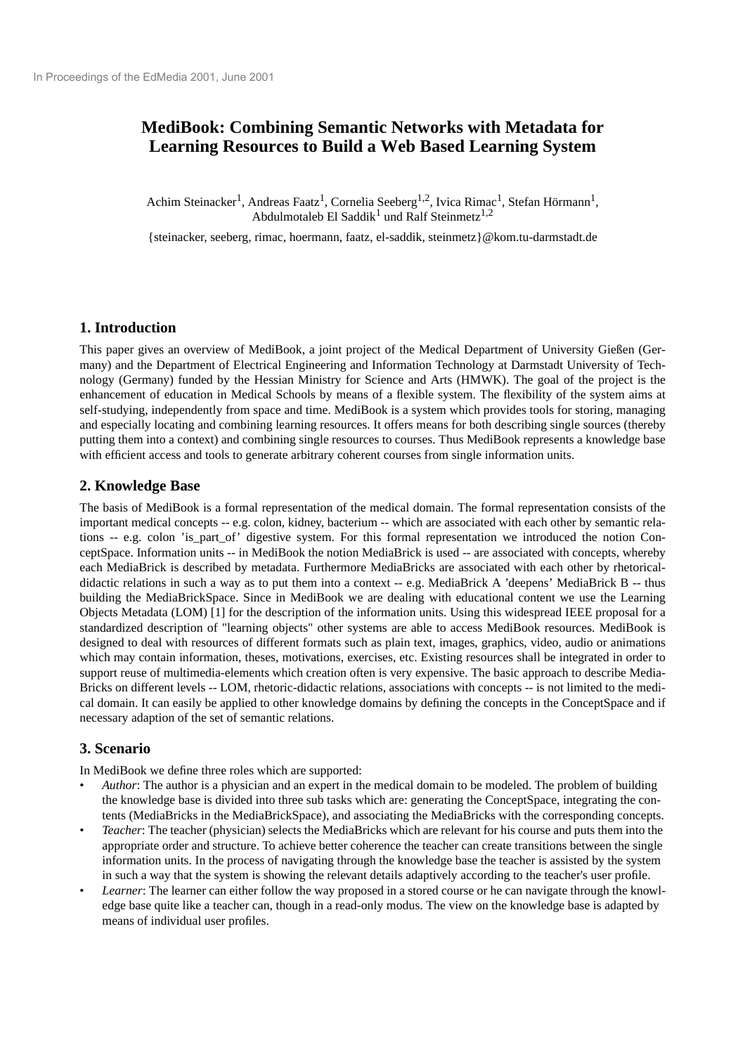# **MediBook: Combining Semantic Networks with Metadata for Learning Resources to Build a Web Based Learning System**

Achim Steinacker<sup>1</sup>, Andreas Faatz<sup>1</sup>, Cornelia Seeberg<sup>1,2</sup>, Ivica Rimac<sup>1</sup>, Stefan Hörmann<sup>1</sup>, Abdulmotaleb El Saddik<sup>1</sup> und Ralf Steinmetz<sup>1,2</sup>

{steinacker, seeberg, rimac, hoermann, faatz, el-saddik, steinmetz}@kom.tu-darmstadt.de

# **1. Introduction**

This paper gives an overview of MediBook, a joint project of the Medical Department of University Gießen (Germany) and the Department of Electrical Engineering and Information Technology at Darmstadt University of Technology (Germany) funded by the Hessian Ministry for Science and Arts (HMWK). The goal of the project is the enhancement of education in Medical Schools by means of a flexible system. The flexibility of the system aims at self-studying, independently from space and time. MediBook is a system which provides tools for storing, managing and especially locating and combining learning resources. It offers means for both describing single sources (thereby putting them into a context) and combining single resources to courses. Thus MediBook represents a knowledge base with efficient access and tools to generate arbitrary coherent courses from single information units.

# **2. Knowledge Base**

The basis of MediBook is a formal representation of the medical domain. The formal representation consists of the important medical concepts -- e.g. colon, kidney, bacterium -- which are associated with each other by semantic relations -- e.g. colon 'is\_part\_of' digestive system. For this formal representation we introduced the notion ConceptSpace. Information units -- in MediBook the notion MediaBrick is used -- are associated with concepts, whereby each MediaBrick is described by metadata. Furthermore MediaBricks are associated with each other by rhetoricaldidactic relations in such a way as to put them into a context -- e.g. MediaBrick A 'deepens' MediaBrick B -- thus building the MediaBrickSpace. Since in MediBook we are dealing with educational content we use the Learning Objects Metadata (LOM) [1] for the description of the information units. Using this widespread IEEE proposal for a standardized description of "learning objects" other systems are able to access MediBook resources. MediBook is designed to deal with resources of different formats such as plain text, images, graphics, video, audio or animations which may contain information, theses, motivations, exercises, etc. Existing resources shall be integrated in order to support reuse of multimedia-elements which creation often is very expensive. The basic approach to describe Media-Bricks on different levels -- LOM, rhetoric-didactic relations, associations with concepts -- is not limited to the medical domain. It can easily be applied to other knowledge domains by defining the concepts in the ConceptSpace and if necessary adaption of the set of semantic relations.

# **3. Scenario**

In MediBook we define three roles which are supported:

- *Author*: The author is a physician and an expert in the medical domain to be modeled. The problem of building the knowledge base is divided into three sub tasks which are: generating the ConceptSpace, integrating the contents (MediaBricks in the MediaBrickSpace), and associating the MediaBricks with the corresponding concepts.
- *Teacher*: The teacher (physician) selects the MediaBricks which are relevant for his course and puts them into the appropriate order and structure. To achieve better coherence the teacher can create transitions between the single information units. In the process of navigating through the knowledge base the teacher is assisted by the system in such a way that the system is showing the relevant details adaptively according to the teacher's user profile.
- *Learner*: The learner can either follow the way proposed in a stored course or he can navigate through the knowledge base quite like a teacher can, though in a read-only modus. The view on the knowledge base is adapted by means of individual user profiles.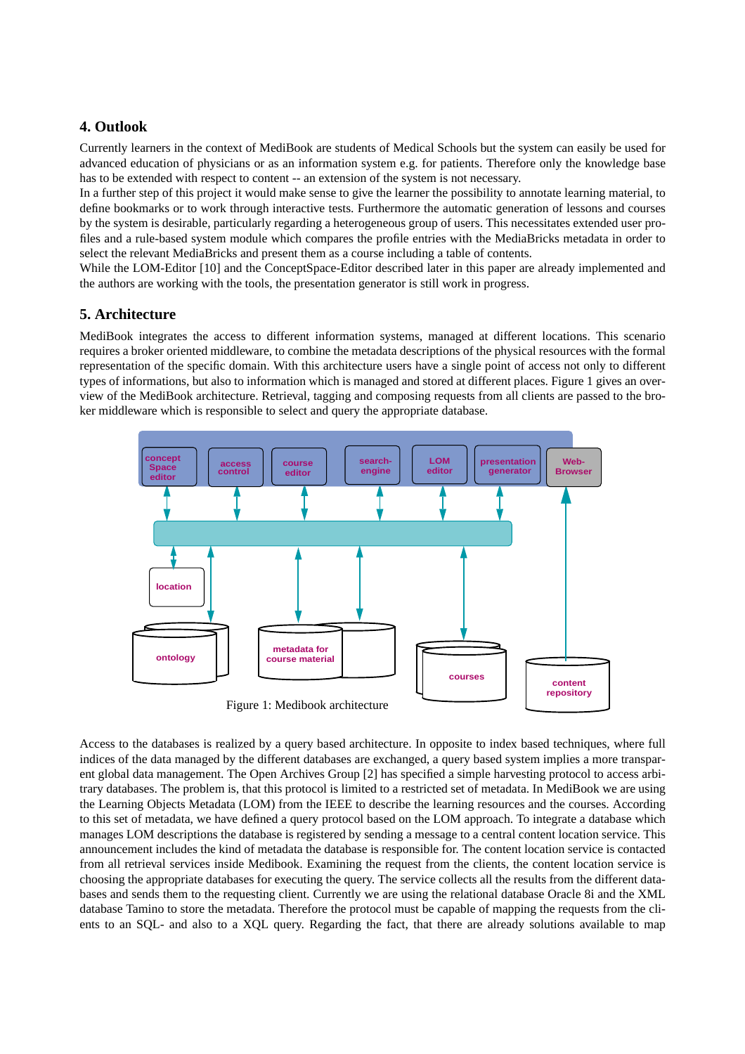# **4. Outlook**

Currently learners in the context of MediBook are students of Medical Schools but the system can easily be used for advanced education of physicians or as an information system e.g. for patients. Therefore only the knowledge base has to be extended with respect to content -- an extension of the system is not necessary.

In a further step of this project it would make sense to give the learner the possibility to annotate learning material, to define bookmarks or to work through interactive tests. Furthermore the automatic generation of lessons and courses by the system is desirable, particularly regarding a heterogeneous group of users. This necessitates extended user profiles and a rule-based system module which compares the profile entries with the MediaBricks metadata in order to select the relevant MediaBricks and present them as a course including a table of contents.

While the LOM-Editor [10] and the ConceptSpace-Editor described later in this paper are already implemented and the authors are working with the tools, the presentation generator is still work in progress.

# **5. Architecture**

MediBook integrates the access to different information systems, managed at different locations. This scenario requires a broker oriented middleware, to combine the metadata descriptions of the physical resources with the formal representation of the specific domain. With this architecture users have a single point of access not only to different types of informations, but also to information which is managed and stored at different places. Figure 1 gives an overview of the MediBook architecture. Retrieval, tagging and composing requests from all clients are passed to the broker middleware which is responsible to select and query the appropriate database.



Figure 1: Medibook architecture

Access to the databases is realized by a query based architecture. In opposite to index based techniques, where full indices of the data managed by the different databases are exchanged, a query based system implies a more transparent global data management. The Open Archives Group [2] has specified a simple harvesting protocol to access arbitrary databases. The problem is, that this protocol is limited to a restricted set of metadata. In MediBook we are using the Learning Objects Metadata (LOM) from the IEEE to describe the learning resources and the courses. According to this set of metadata, we have defined a query protocol based on the LOM approach. To integrate a database which manages LOM descriptions the database is registered by sending a message to a central content location service. This announcement includes the kind of metadata the database is responsible for. The content location service is contacted from all retrieval services inside Medibook. Examining the request from the clients, the content location service is choosing the appropriate databases for executing the query. The service collects all the results from the different databases and sends them to the requesting client. Currently we are using the relational database Oracle 8i and the XML database Tamino to store the metadata. Therefore the protocol must be capable of mapping the requests from the clients to an SQL- and also to a XQL query. Regarding the fact, that there are already solutions available to map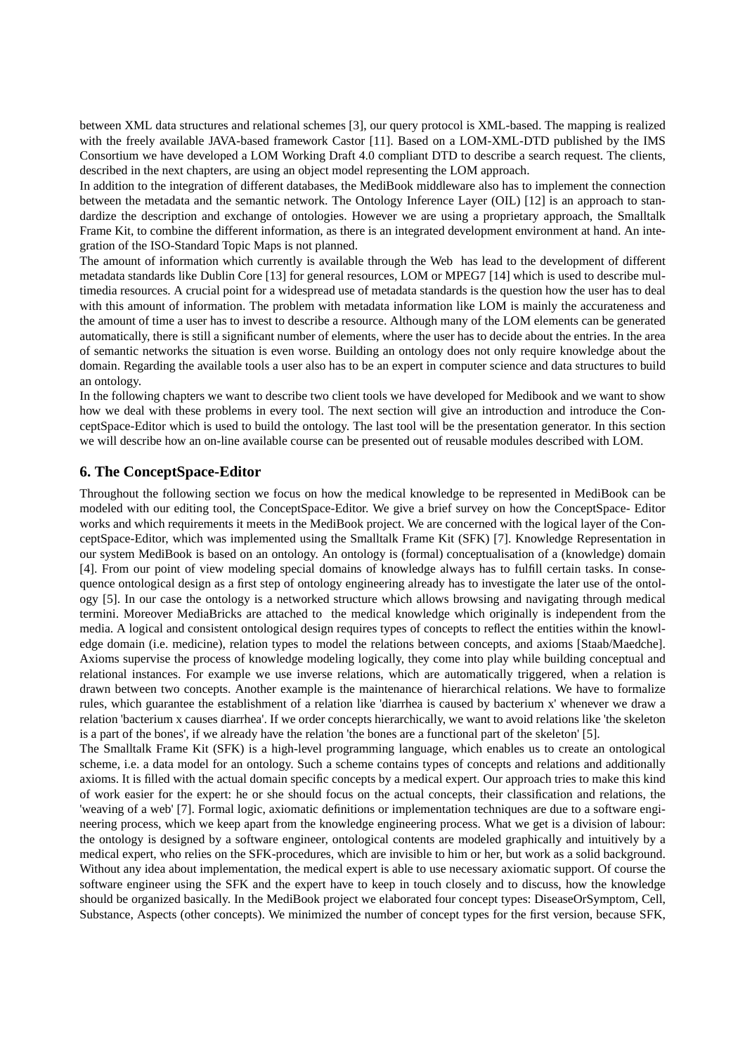between XML data structures and relational schemes [3], our query protocol is XML-based. The mapping is realized with the freely available JAVA-based framework Castor [11]. Based on a LOM-XML-DTD published by the IMS Consortium we have developed a LOM Working Draft 4.0 compliant DTD to describe a search request. The clients, described in the next chapters, are using an object model representing the LOM approach.

In addition to the integration of different databases, the MediBook middleware also has to implement the connection between the metadata and the semantic network. The Ontology Inference Layer (OIL) [12] is an approach to standardize the description and exchange of ontologies. However we are using a proprietary approach, the Smalltalk Frame Kit, to combine the different information, as there is an integrated development environment at hand. An integration of the ISO-Standard Topic Maps is not planned.

The amount of information which currently is available through the Web has lead to the development of different metadata standards like Dublin Core [13] for general resources, LOM or MPEG7 [14] which is used to describe multimedia resources. A crucial point for a widespread use of metadata standards is the question how the user has to deal with this amount of information. The problem with metadata information like LOM is mainly the accurateness and the amount of time a user has to invest to describe a resource. Although many of the LOM elements can be generated automatically, there is still a significant number of elements, where the user has to decide about the entries. In the area of semantic networks the situation is even worse. Building an ontology does not only require knowledge about the domain. Regarding the available tools a user also has to be an expert in computer science and data structures to build an ontology.

In the following chapters we want to describe two client tools we have developed for Medibook and we want to show how we deal with these problems in every tool. The next section will give an introduction and introduce the ConceptSpace-Editor which is used to build the ontology. The last tool will be the presentation generator. In this section we will describe how an on-line available course can be presented out of reusable modules described with LOM.

#### **6. The ConceptSpace-Editor**

Throughout the following section we focus on how the medical knowledge to be represented in MediBook can be modeled with our editing tool, the ConceptSpace-Editor. We give a brief survey on how the ConceptSpace- Editor works and which requirements it meets in the MediBook project. We are concerned with the logical layer of the ConceptSpace-Editor, which was implemented using the Smalltalk Frame Kit (SFK) [7]. Knowledge Representation in our system MediBook is based on an ontology. An ontology is (formal) conceptualisation of a (knowledge) domain [4]. From our point of view modeling special domains of knowledge always has to fulfill certain tasks. In consequence ontological design as a first step of ontology engineering already has to investigate the later use of the ontology [5]. In our case the ontology is a networked structure which allows browsing and navigating through medical termini. Moreover MediaBricks are attached to the medical knowledge which originally is independent from the media. A logical and consistent ontological design requires types of concepts to reflect the entities within the knowledge domain (i.e. medicine), relation types to model the relations between concepts, and axioms [Staab/Maedche]. Axioms supervise the process of knowledge modeling logically, they come into play while building conceptual and relational instances. For example we use inverse relations, which are automatically triggered, when a relation is drawn between two concepts. Another example is the maintenance of hierarchical relations. We have to formalize rules, which guarantee the establishment of a relation like 'diarrhea is caused by bacterium x' whenever we draw a relation 'bacterium x causes diarrhea'. If we order concepts hierarchically, we want to avoid relations like 'the skeleton is a part of the bones', if we already have the relation 'the bones are a functional part of the skeleton' [5].

The Smalltalk Frame Kit (SFK) is a high-level programming language, which enables us to create an ontological scheme, i.e. a data model for an ontology. Such a scheme contains types of concepts and relations and additionally axioms. It is filled with the actual domain specific concepts by a medical expert. Our approach tries to make this kind of work easier for the expert: he or she should focus on the actual concepts, their classification and relations, the 'weaving of a web' [7]. Formal logic, axiomatic definitions or implementation techniques are due to a software engineering process, which we keep apart from the knowledge engineering process. What we get is a division of labour: the ontology is designed by a software engineer, ontological contents are modeled graphically and intuitively by a medical expert, who relies on the SFK-procedures, which are invisible to him or her, but work as a solid background. Without any idea about implementation, the medical expert is able to use necessary axiomatic support. Of course the software engineer using the SFK and the expert have to keep in touch closely and to discuss, how the knowledge should be organized basically. In the MediBook project we elaborated four concept types: DiseaseOrSymptom, Cell, Substance, Aspects (other concepts). We minimized the number of concept types for the first version, because SFK,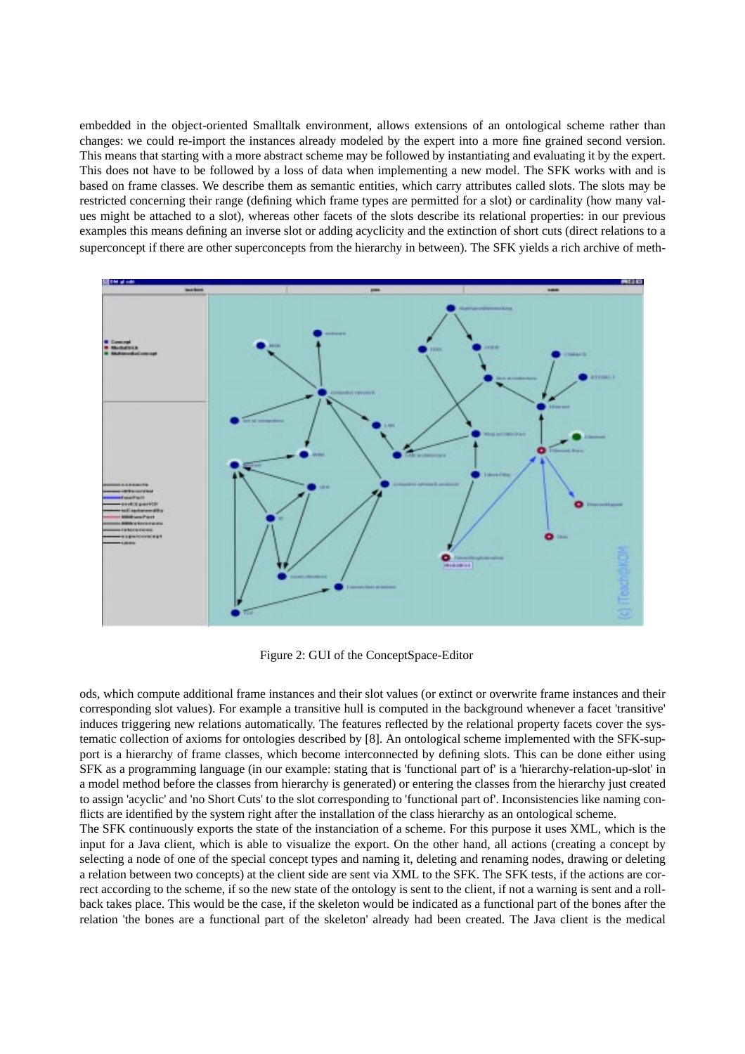embedded in the object-oriented Smalltalk environment, allows extensions of an ontological scheme rather than changes: we could re-import the instances already modeled by the expert into a more fine grained second version. This means that starting with a more abstract scheme may be followed by instantiating and evaluating it by the expert. This does not have to be followed by a loss of data when implementing a new model. The SFK works with and is based on frame classes. We describe them as semantic entities, which carry attributes called slots. The slots may be restricted concerning their range (defining which frame types are permitted for a slot) or cardinality (how many values might be attached to a slot), whereas other facets of the slots describe its relational properties: in our previous examples this means defining an inverse slot or adding acyclicity and the extinction of short cuts (direct relations to a superconcept if there are other superconcepts from the hierarchy in between). The SFK yields a rich archive of meth-



Figure 2: GUI of the ConceptSpace-Editor

ods, which compute additional frame instances and their slot values (or extinct or overwrite frame instances and their corresponding slot values). For example a transitive hull is computed in the background whenever a facet 'transitive' induces triggering new relations automatically. The features reflected by the relational property facets cover the systematic collection of axioms for ontologies described by [8]. An ontological scheme implemented with the SFK-support is a hierarchy of frame classes, which become interconnected by defining slots. This can be done either using SFK as a programming language (in our example: stating that is 'functional part of' is a 'hierarchy-relation-up-slot' in a model method before the classes from hierarchy is generated) or entering the classes from the hierarchy just created to assign 'acyclic' and 'no Short Cuts' to the slot corresponding to 'functional part of'. Inconsistencies like naming conflicts are identified by the system right after the installation of the class hierarchy as an ontological scheme.

The SFK continuously exports the state of the instanciation of a scheme. For this purpose it uses XML, which is the input for a Java client, which is able to visualize the export. On the other hand, all actions (creating a concept by selecting a node of one of the special concept types and naming it, deleting and renaming nodes, drawing or deleting a relation between two concepts) at the client side are sent via XML to the SFK. The SFK tests, if the actions are correct according to the scheme, if so the new state of the ontology is sent to the client, if not a warning is sent and a rollback takes place. This would be the case, if the skeleton would be indicated as a functional part of the bones after the relation 'the bones are a functional part of the skeleton' already had been created. The Java client is the medical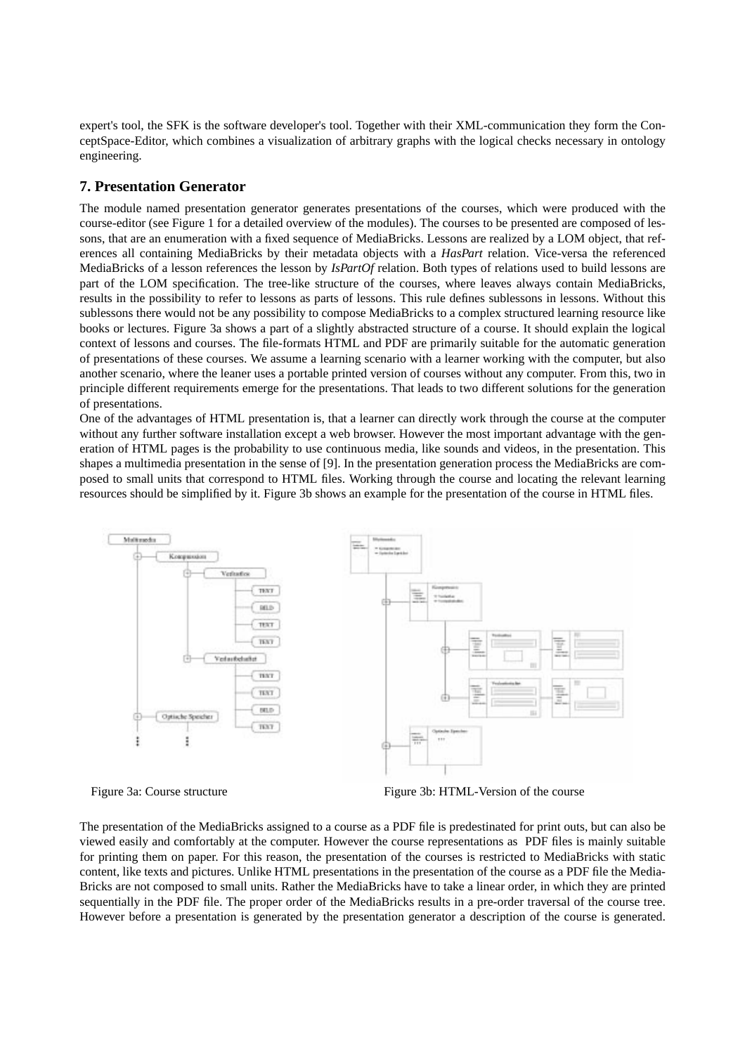expert's tool, the SFK is the software developer's tool. Together with their XML-communication they form the ConceptSpace-Editor, which combines a visualization of arbitrary graphs with the logical checks necessary in ontology engineering.

#### **7. Presentation Generator**

The module named presentation generator generates presentations of the courses, which were produced with the course-editor (see Figure 1 for a detailed overview of the modules). The courses to be presented are composed of lessons, that are an enumeration with a fixed sequence of MediaBricks. Lessons are realized by a LOM object, that references all containing MediaBricks by their metadata objects with a *HasPart* relation. Vice-versa the referenced MediaBricks of a lesson references the lesson by *IsPartOf* relation. Both types of relations used to build lessons are part of the LOM specification. The tree-like structure of the courses, where leaves always contain MediaBricks, results in the possibility to refer to lessons as parts of lessons. This rule defines sublessons in lessons. Without this sublessons there would not be any possibility to compose MediaBricks to a complex structured learning resource like books or lectures. Figure 3a shows a part of a slightly abstracted structure of a course. It should explain the logical context of lessons and courses. The file-formats HTML and PDF are primarily suitable for the automatic generation of presentations of these courses. We assume a learning scenario with a learner working with the computer, but also another scenario, where the leaner uses a portable printed version of courses without any computer. From this, two in principle different requirements emerge for the presentations. That leads to two different solutions for the generation of presentations.

One of the advantages of HTML presentation is, that a learner can directly work through the course at the computer without any further software installation except a web browser. However the most important advantage with the generation of HTML pages is the probability to use continuous media, like sounds and videos, in the presentation. This shapes a multimedia presentation in the sense of [9]. In the presentation generation process the MediaBricks are composed to small units that correspond to HTML files. Working through the course and locating the relevant learning resources should be simplified by it. Figure 3b shows an example for the presentation of the course in HTML files.



Figure 3a: Course structure Figure 3b: HTML-Version of the course

The presentation of the MediaBricks assigned to a course as a PDF file is predestinated for print outs, but can also be viewed easily and comfortably at the computer. However the course representations as PDF files is mainly suitable for printing them on paper. For this reason, the presentation of the courses is restricted to MediaBricks with static content, like texts and pictures. Unlike HTML presentations in the presentation of the course as a PDF file the Media-Bricks are not composed to small units. Rather the MediaBricks have to take a linear order, in which they are printed sequentially in the PDF file. The proper order of the MediaBricks results in a pre-order traversal of the course tree. However before a presentation is generated by the presentation generator a description of the course is generated.